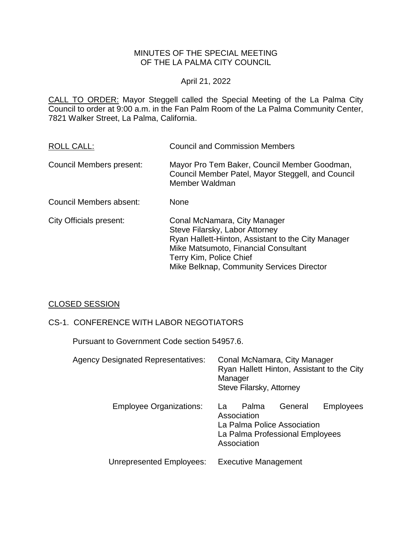# MINUTES OF THE SPECIAL MEETING OF THE LA PALMA CITY COUNCIL

# April 21, 2022

CALL TO ORDER: Mayor Steggell called the Special Meeting of the La Palma City Council to order at 9:00 a.m. in the Fan Palm Room of the La Palma Community Center, 7821 Walker Street, La Palma, California.

| <b>ROLL CALL:</b>        | <b>Council and Commission Members</b>                                                                                                                                                                                                |
|--------------------------|--------------------------------------------------------------------------------------------------------------------------------------------------------------------------------------------------------------------------------------|
| Council Members present: | Mayor Pro Tem Baker, Council Member Goodman,<br>Council Member Patel, Mayor Steggell, and Council<br>Member Waldman                                                                                                                  |
| Council Members absent:  | <b>None</b>                                                                                                                                                                                                                          |
| City Officials present:  | Conal McNamara, City Manager<br>Steve Filarsky, Labor Attorney<br>Ryan Hallett-Hinton, Assistant to the City Manager<br>Mike Matsumoto, Financial Consultant<br>Terry Kim, Police Chief<br>Mike Belknap, Community Services Director |

# CLOSED SESSION

# CS-1. CONFERENCE WITH LABOR NEGOTIATORS

Pursuant to Government Code section 54957.6.

| <b>Agency Designated Representatives:</b> | Conal McNamara, City Manager<br>Ryan Hallett Hinton, Assistant to the City<br>Manager<br>Steve Filarsky, Attorney                           |
|-------------------------------------------|---------------------------------------------------------------------------------------------------------------------------------------------|
| <b>Employee Organizations:</b>            | General<br><b>Employees</b><br>Palma<br>La.<br>Association<br>La Palma Police Association<br>La Palma Professional Employees<br>Association |
| Unrepresented Employees:                  | <b>Executive Management</b>                                                                                                                 |